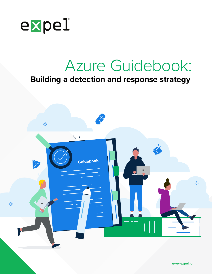

# Azure Guidebook:

## **Building a detection and response strategy**

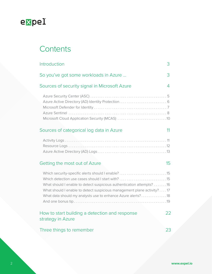

## **Contents**

| Introduction                                                                                                                                                                                                                                                        | 3  |
|---------------------------------------------------------------------------------------------------------------------------------------------------------------------------------------------------------------------------------------------------------------------|----|
| So you've got some workloads in Azure                                                                                                                                                                                                                               | 3  |
| Sources of security signal in Microsoft Azure                                                                                                                                                                                                                       | 4  |
| Azure Active Directory (AD) Identity Protection 6<br>Microsoft Cloud Application Security (MCAS) 10                                                                                                                                                                 |    |
| Sources of categorical log data in Azure                                                                                                                                                                                                                            | 11 |
|                                                                                                                                                                                                                                                                     |    |
| Getting the most out of Azure                                                                                                                                                                                                                                       | 15 |
| Which security-specific alerts should I enable?15<br>What should I enable to detect suspicious authentication attempts? 16<br>What should I enable to detect suspicious management plane activity?17<br>What data should my analysts use to enhance Azure alerts?18 |    |
| How to start building a detection and response<br>strategy in Azure                                                                                                                                                                                                 | 22 |
| Three things to remember                                                                                                                                                                                                                                            | 23 |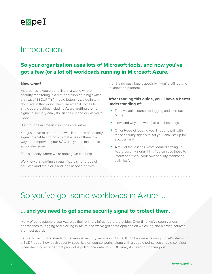<span id="page-2-0"></span>

## Introduction

## **So your organization uses lots of Microsoft tools, and now you've got a few (or a lot of) workloads running in Microsoft Azure.**

#### **Now what?**

As great as it would be to live in a world where security monitoring is a matter of flipping a big switch that says "SECURITY" in bold letters ... we definitely don't live in that world. Because when it comes to any cloud provider, including Azure, getting the right signal to security analysts isn't as cut and dry as you'd hope.

But that doesn't mean it's impossible, either.

You just have to understand which sources of security signal to enable and how to make use of them in a way that empowers your SOC analysts to make quick, sound decisions.

That's exactly where we're hoping we can help.

We know that sorting through Azure's hundreds of services (and the alerts and logs associated with

them) is no easy feat, especially if you're still getting to know the platform.

#### **After reading this guide, you'll have a better understanding of:**

- The available sources of logging and alert data in Azure;
- How (and why and when) to use those logs;
- Other types of logging you'll need to pair with those security signals to set your analysts up for success; and
- A few of the lessons we've learned setting up Azure security signal (Hint: You can use these to inform and tweak your own security monitoring activities!).

## So you've got some workloads in Azure ...

### **… and you need to get some security signal to protect them.**

Many of our customers use Azure as their primary infrastructure provider. Over time we've seen various approaches to logging and alerting in Azure and we've got some opinions on which log and alerting sources are most useful.

Let's start with understanding the various security services in Azure. It can be overwhelming. So let's start with a TL;DR about how each security-specific alert source works, along with a couple points you should consider when deciding whether that product is pulling the data *your* SOC analysts need to do their jobs.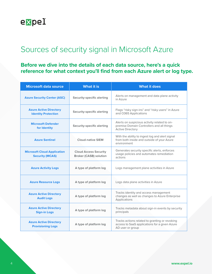<span id="page-3-0"></span>

## Sources of security signal in Microsoft Azure

**Before we dive into the details of each data source, here's a quick reference for what context you'll find from each Azure alert or log type.** 

| <b>Microsoft data source</b>                                 | <b>What it is</b>                                             | <b>What it does</b>                                                                                                  |
|--------------------------------------------------------------|---------------------------------------------------------------|----------------------------------------------------------------------------------------------------------------------|
| <b>Azure Security Center (ASC)</b>                           | Security-specific alerting                                    | Alerts on management and data plane activity<br>in Azure                                                             |
| <b>Azure Active Directory</b><br><b>Identity Protection</b>  | Security-specific alerting                                    | Flags "risky sign-ins" and "risky users" in Azure<br>and O365 Applications                                           |
| <b>Microsoft Defender</b><br>for Identity                    | Security-specific alerting                                    | Alerts on suspicious activity related to on-<br>premise Domain Controllers and all things<br><b>Active Directory</b> |
| <b>Azure Sentinel</b>                                        | <b>Cloud-native SIEM</b>                                      | With the ability to ingest log and alert signal<br>from both inside and outside of your Azure<br>environment         |
| <b>Microsoft Cloud Application</b><br><b>Security (MCAS)</b> | <b>Cloud Access Security</b><br><b>Broker (CASB) solution</b> | Generates security specific alerts, enforces<br>usage policies and automates remediation<br>actions                  |
| <b>Azure Activity Logs</b>                                   | A type of platform log                                        | Logs management plane activities in Azure                                                                            |
| <b>Azure Resource Logs</b>                                   | A type of platform log                                        | Logs data plane activities in Azure                                                                                  |
| <b>Azure Active Directory</b><br><b>Audit Logs</b>           | A type of platform log                                        | Tracks identity and access management<br>changes as well as changes to Azure Enterprise<br>Applications              |
| <b>Azure Active Directory</b><br><b>Sign-in Logs</b>         | A type of platform log                                        | Tracks metadata about sign-in events by security<br>principals                                                       |
| <b>Azure Active Directory</b><br><b>Provisioning Logs</b>    | A type of platform log                                        | Tracks actions related to granting or revoking<br>access to SaaS applications for a given Azure<br>AD user or group  |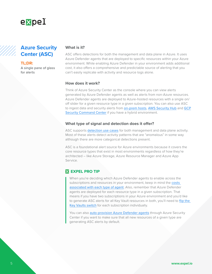<span id="page-4-0"></span>

### **Azure Security Center (ASC)**

**TL;DR:**

A single pane of glass for alerts

#### **What is it?**

ASC offers detections for both the management and data plane in Azure. It uses Azure Defender agents that are deployed to specific resources within your Azure environment. While enabling Azure Defender in your environment adds additional cost, it also offers a comprehensive and predictable source of alerting that you can't easily replicate with activity and resource logs alone.

#### **How does it work?**

Think of Azure Security Center as the console where you can view alerts generated by Azure Defender agents as well as alerts from non-Azure resources. Azure Defender agents are deployed to Azure-hosted resources with a single on/ off slider for a given resource type in a given subscription. You can also use ASC to ingest data and security alerts from [on-prem hosts](https://docs.microsoft.com/en-us/azure/security-center/quickstart-onboard-machines?pivots=azure-arc), [AWS Security Hub](https://docs.microsoft.com/en-us/azure/security-center/quickstart-onboard-aws) and GCP [Security Command Center](https://docs.microsoft.com/en-us/azure/security-center/quickstart-onboard-gcp) if you have a hybrid environment.

#### **What type of signal and detection does it offer?**

ASC supports [detection use cases](https://docs.microsoft.com/en-us/azure/security-center/alerts-reference) for both management and data plane activity. Most of these alerts detect activity patterns that are "anomalous" in some way although there are more categorical detections present.

ASC is a foundational alert source for Azure environments because it covers the core resource types that exist in most environments regardless of how they're architected – like Azure Storage, Azure Resource Manager and Azure App Service.

#### **EXPEL PRO TIP**

When you're deciding which Azure Defender agents to enable across the subscriptions and resources in your environment, keep in mind the costs [associated with each type of agent](https://azure.microsoft.com/en-us/pricing/details/azure-defender/). Also, remember that Azure Defender agents are deployed for each resource type in a given subscription. That means if you have two subscriptions in your Azure environment and you'd like to generate ASC alerts for all Key Vault resources in both, you'll need to [flip the](https://docs.microsoft.com/en-us/azure/security-center/security-center-get-started)  [Key Vaults switch](https://docs.microsoft.com/en-us/azure/security-center/security-center-get-started) for each subscription individually.

You can also **[auto-provision Azure Defender agents](https://docs.microsoft.com/en-us/azure/security-center/security-center-get-started)** through Azure Security Center if you want to make sure that all new resources of a given type are generating ASC alerts by default.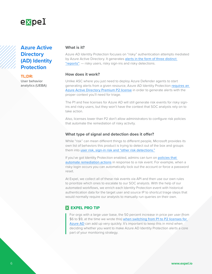<span id="page-5-0"></span>

### **Azure Active Directory (AD) Identity Protection**

**TL;DR:** User behavior analytics (UEBA)

#### **What is it?**

Azure AD Identity Protection focuses on "risky" authentication attempts mediated by Azure Active Directory. It generates alerts in the form of three distinct ["reports"](https://docs.microsoft.com/en-us/azure/active-directory/identity-protection/howto-identity-protection-investigate-risk): — risky users, risky sign-ins and risky detections.

#### **How does it work?**

Unlike ASC where you just need to deploy Azure Defender agents to start generating alerts from a given resource, Azure AD Identity Protection [requires an](https://docs.microsoft.com/en-us/azure/active-directory/identity-protection/overview-identity-protection#license-requirements)  [Azure Active Directory Premium P2 license](https://docs.microsoft.com/en-us/azure/active-directory/identity-protection/overview-identity-protection#license-requirements) in order to generate alerts with the proper context you'll need for triage.

The P1 and free licenses for Azure AD will still generate risk events for risky signins and risky users, but they won't have the context that SOC analysts rely on to take action.

Also, licenses lower than P2 don't allow administrators to configure risk policies that automate the remediation of risky activity.

#### **What type of signal and detection does it offer?**

While "risk" can mean different things to different people, Microsoft provides its own list of behaviors this product is trying to detect out of the box and groups them into [user risk, sign-in risk and "other risk detections."](https://docs.microsoft.com/en-us/azure/active-directory/identity-protection/concept-identity-protection-risks#risk-types-and-detection)

If you've got Identity Protection enabled, admins can turn on policies that [automate remediation actions](https://docs.microsoft.com/en-us/azure/active-directory/identity-protection/concept-identity-protection-policies) in response to a risk event. For example, when a risky login occurs you can automatically lock out the account or force a password reset.

At Expel, we collect all of these risk events via API and then use our own rules to prioritize which ones to escalate to our SOC analysts. With the help of our automated [workflows](https://expel.io/blog/power-of-orchestration-how-we-automated-enrichments-aws-alerts/), we enrich each Identity Protection event with historical authentication data for the target user and source IP to shortcut triage steps that would normally require our analysts to manually run queries on their own.

#### **EXPEL PRO TIP**

For orgs with a large user base, the 50 percent increase in price per user (from \$6 to \$9, at the time we wrote this) [when switching from P1 to P2 licenses for](https://azure.microsoft.com/en-us/pricing/details/active-directory/)  [Azure AD](https://azure.microsoft.com/en-us/pricing/details/active-directory/) can add up very quickly. It's important to keep this in mind when deciding whether you want to make Azure AD Identity Protection alerts a core part of your monitoring strategy.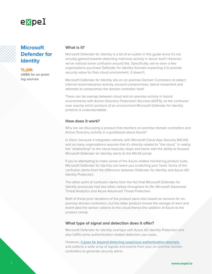<span id="page-6-0"></span>

## **Microsoft Defender for Identity**

**TL;DR:** UEBA for on-prem log sources

#### **What is it?**

Microsoft Defender for Identity is a bit of an outlier in this guide since it's not actually geared towards detecting malicious activity in Azure itself. However, we've noticed some confusion around this. Specifically, we've seen a few organizations purchase Defender for Identity licenses expecting it to provide security value for their cloud environment. It doesn't.

Microsoft Defender for Identity sits on on-premise Domain Controllers to detect internal reconnaissance activity, account compromises, lateral movement and attempts to compromise the domain controller itself.

There can be overlap between cloud and on-premise activity in hybrid environments with Active Directory Federation Services (ADFS), so the confusion over exactly which portions of an environment Microsoft Defender for Identity protects is understandable.

#### **How does it work?**

Why are we discussing a product that monitors on-premise domain controllers and Active Directory activity in a guidebook about Azure?

In short, because it integrates natively with Microsoft Cloud App Security (MCAS) and so many organizations assume that it's directly related to "the cloud." In reality, the "relationship" to the cloud basically stops and starts with the ability to forward Microsoft Defender for Identity alerts to the MCAS portal.

If you're attempting to make sense of the Azure-related monitoring product suite, Microsoft Defender for Identity can leave you scratching your head. Some of the confusion stems from the difference between Defender for Identity and Azure AD Identity Protection.

The other point of confusion stems from the fact that Microsoft Defender for Identity previously had two other names throughout its life: Microsoft Advanced Threat Analytics and Azure Advanced Threat Protection.

Both of these prior iterations of the product were also based on sensors for onpremise domain controllers, but the latter product moved the storage of alert and event data the sensor collects to the cloud (hence the addition of Azure to the product name).

#### **What type of signal and detection does it offer?**

Microsoft Defender for Identity overlaps with Azure AD Identity Protection and also fulfills some authentication-related detection use cases.

However, [it goes far beyond detecting suspicious authentication attempts](https://docs.microsoft.com/en-us/defender-for-identity/suspicious-activity-guide?tabs=external)  and collects a wide array of signals and events from your on-premise domain controllers to generate security alerts.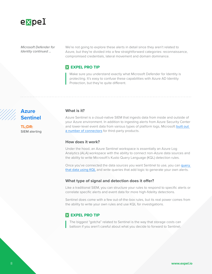<span id="page-7-0"></span>

*Microsoft Defender for Identity continued ...* 

We're not going to explore these alerts in detail since they aren't related to Azure, but they're divided into a few straightforward categories: reconnaissance, compromised credentials, lateral movement and domain dominance.

#### **EXPEL PRO TIP**

Make sure you understand exactly what Microsoft Defender for Identity is protecting. It's easy to confuse these capabilities with Azure AD Identity Protection, but they're quite different.

### **Azure Sentinel**

**TL;DR:** SIEM alerting

#### **What is it?**

Azure Sentinel is a cloud-native SIEM that ingests data from inside and outside of your Azure environment. In addition to ingesting alerts from Azure Security Center and lower-level event data from various types of platform logs, Microsoft [built out](https://docs.microsoft.com/en-us/azure/sentinel/connect-data-sources)  [a number of connectors](https://docs.microsoft.com/en-us/azure/sentinel/connect-data-sources) for third-party products.

#### **How does it work?**

Under the hood, an Azure Sentinel workspace is essentially an Azure Log Analytics (ALA) workspace with the ability to connect non-Azure data sources and the ability to write Microsoft's Kusto Query Language (KQL) detection rules.

Once you've connected the data sources you want Sentinel to use, you can [query](https://github.com/Azure/Azure-Sentinel/tree/master/Hunting Queries)  [that data using KQL](https://github.com/Azure/Azure-Sentinel/tree/master/Hunting Queries) and write queries that add logic to generate your own alerts.

#### **What type of signal and detection does it offer?**

Like a traditional SIEM, you can structure your rules to respond to specific alerts or correlate specific alerts and event data for more high-fidelity detections.

Sentinel does come with a few out-of-the-box rules, but its real power comes from the ability to write your own rules and use KQL for investigations.

#### **EXPEL PRO TIP**

The biggest "gotcha" related to Sentinel is the way that storage costs can balloon if you aren't careful about what you decide to forward to Sentinel.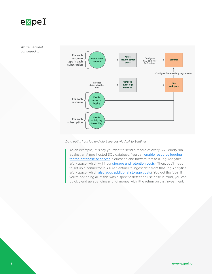

*Azure Sentinel continued ...* 



#### *Data paths from log and alert sources via ALA to Sentinel*

As an example, let's say you want to send a record of every SQL query run against an Azure-hosted SQL database. You can enable resource logging [for the database or server](https://docs.microsoft.com/en-us/azure/azure-sql/database/auditing-overview) in question and forward that to a Log Analytics Workspace (which will incur [storage and retention costs](https://azure.microsoft.com/en-us/pricing/details/monitor/)). Then, you'll need to set up a connector in Azure Sentinel to ingest data from that Log Analytics Workspace (which [also adds additional storage costs](https://azure.microsoft.com/en-us/pricing/details/azure-sentinel/)). You get the idea. If you're not doing all of this with a specific detection use case in mind, you can quickly end up spending a lot of money with little return on that investment.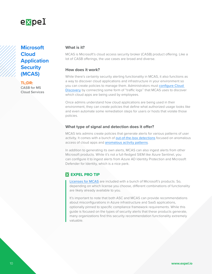<span id="page-9-0"></span>

## **Microsoft Cloud Application Security (MCAS)**

**TL;DR:** CASB for MS Cloud Services

#### **What is it?**

MCAS is Microsoft's cloud access security broker (CASB) product offering. Like a lot of CASB offerings, the use cases are broad and diverse.

#### **How does it work?**

While there's certainly security alerting functionality in MCAS, it also functions as a way to discover cloud applications and infrastructure in your environment so you can create policies to manage them. Administrators must [configure Cloud](https://docs.microsoft.com/en-us/cloud-app-security/set-up-cloud-discovery)  [Discovery](https://docs.microsoft.com/en-us/cloud-app-security/set-up-cloud-discovery) by connecting some form of "traffic logs'' that MCAS uses to discover which cloud apps are being used by employees.

Once admins understand how cloud applications are being used in their environment, they can create policies that define what authorized usage looks like and even automate some remediation steps for users or hosts that violate those policies.

#### **What type of signal and detection does it offer?**

MCAS lets admins create policies that generate alerts for various patterns of user activity. It comes with a bunch of [out-of-the-box detections](https://docs.microsoft.com/en-us/cloud-app-security/managing-alerts#alert-types) focused on anomalous access of cloud apps and **[anomalous activity patterns](https://docs.microsoft.com/en-us/cloud-app-security/investigate-anomaly-alerts)**.

In addition to generating its own alerts, MCAS can also ingest alerts from other Microsoft products. While it's not a full-fledged SIEM like Azure Sentinel, you can configure it to ingest alerts from Azure AD Identity Protection and Microsoft Defender for Identity, which is a nice perk.

#### **EXPEL PRO TIP**

[Licenses for MCAS](https://query.prod.cms.rt.microsoft.com/cms/api/am/binary/RE2NXYO) are included with a bunch of Microsoft's products. So, depending on which license you choose, different combinations of functionality are likely already available to you.

It's important to note that both ASC and MCAS can provide recommendations about misconfigurations in Azure infrastructure and SaaS applications, optionally pinned to specific compliance framework requirements. While this guide is focused on the types of security alerts that these products generate, many organizations find this security recommendation functionality extremely valuable.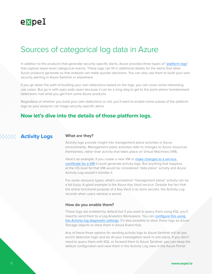<span id="page-10-0"></span>

## Sources of categorical log data in Azure

In addition to the products that generate security-specific alerts, Azure provides three types of "[platform logs](https://docs.microsoft.com/en-us/azure/azure-monitor/platform/platform-logs-overview)" that capture lower-level categorical events. These logs can fill in additional details for the alerts that other Azure products generate so that analysts can make quicker decisions. You can also use them to build your own security alerting in Azure Sentinel or elsewhere.

If you go down the path of building your own detections based on the logs, you can cover some interesting use cases. But go in with eyes wide open because it can be a long slog to get to the point where homebrewed detections rival what you get from some Azure products.

Regardless of whether you build your own detections or not, you'll want to enable some subset of the platform logs so your analysts can triage security-specific alerts.

### **Now let's dive into the details of those platform logs.**

### **Activity Logs**

#### **What are they?**

Activity logs provide insight into management plane activities in Azure environments. Management plane activities refer to changes to Azure resources themselves, rather than activity that takes place on Virtual Machines (VM).

Here's an example. If you create a new VM or make changes to a service [certificate for a VM](https://azure.github.io/AppService/2017/10/26/Configure-App-Service-Certificate-to-Azure-Virtual-machines.html) it could generate activity logs. But anything that happens at the OS level for that VM would be considered "data plane" activity and Azure Activity Log wouldn't monitor it.

For some resource types, what's considered "management plane" activity can be a bit fuzzy. A good example is the Azure Key Vault service. Despite the fact that the entire functional purpose of a Key Vault is to store secrets, the Activity Log records when users retrieve a secret.

#### **How do you enable them?**

These logs are enabled by default but if you want to query them using KQL you'll need to send them to a Log Analytics Workspace. You can [configure this using](https://docs.microsoft.com/en-us/azure/azure-monitor/platform/activity-log#send-to-log-analytics-workspace)  [the Activity log diagnostic settings](https://docs.microsoft.com/en-us/azure/azure-monitor/platform/activity-log#send-to-log-analytics-workspace). It's also possible to store these logs as Azure Storage objects or store them in Azure Event Hub.

Any of these three options for sending activity logs to Azure Sentinel will let you enrich detection logic and do all your investigation work in one place. If you don't need to query them with KQL or forward them to Azure Sentinel, you can keep the default configuration and view them in the Activity Log view in the Azure Portal.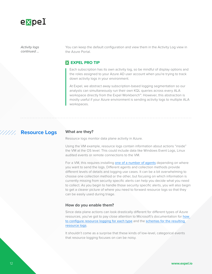<span id="page-11-0"></span>

*Activity logs continued ...*  You can keep the default configuration and view them in the Activity Log view in the Azure Portal.

#### **EXPEL PRO TIP**

Each subscription has its own activity log, so be mindful of display options and the roles assigned to your Azure AD user account when you're trying to track down activity logs in your environment.

At Expel, we abstract away subscription-based logging segmentation so our analysts can simultaneously run their own KQL queries across every ALA workspace directly from the Expel Workbench™. However, this abstraction is mostly useful if your Azure environment is sending activity logs to multiple ALA workspaces.

#### **Resource Logs**

/////,

#### **What are they?**

Resource logs monitor data plane activity in Azure.

Using the VM example, resource logs contain information about actions "inside" the VM at the OS level. This could include data like Windows Event Logs, Linux audited events or remote connections to the VM.

For a VM, this requires installing [one of a number of agents](https://docs.microsoft.com/en-us/azure/azure-monitor/platform/data-sources#operating-system-guest) depending on where you want to send the logs. Different agents and collection methods provide different levels of details and logging use cases. It can be a bit overwhelming to choose one collection method or the other, but focusing on which information is currently missing from security specific alerts can help you decide what you need to collect. As you begin to handle those security specific alerts, you will also begin to get a clearer picture of where you need to forward resource logs so that they can be easily used during triage.

#### **How do you enable them?**

Since data plane actions can look drastically different for different types of Azure resources, you've got to pay close attention to Microsoft's documentation for [how](https://docs.microsoft.com/en-us/azure/azure-monitor/platform/data-sources#azure-resources)  [to configure resource logging for each type](https://docs.microsoft.com/en-us/azure/azure-monitor/platform/data-sources#azure-resources) and the [schemas for the resulting](https://docs.microsoft.com/en-us/azure/azure-monitor/platform/resource-logs-schema#service-specific-schemas)  [resource logs](https://docs.microsoft.com/en-us/azure/azure-monitor/platform/resource-logs-schema#service-specific-schemas).

It shouldn't come as a surprise that these kinds of low-level, categorical events that resource logging focuses on can be noisy.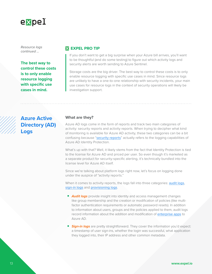<span id="page-12-0"></span>

*Resource logs continued ...* 

**The best way to control these costs is to only enable resource logging with specific use cases in mind.**

#### **EXPEL PRO TIP**

If you don't want to get a big surprise when your Azure bill arrives, you'll want to be thoughtful (and do some testing) to figure out which activity logs and security alerts are worth sending to Azure Sentinel.

Storage costs are the big driver. The best way to control these costs is to only enable resource logging with specific use cases in mind. Since resource logs are unlikely to have a one-to-one relationship with security incidents, your main use cases for resource logs in the context of security operations will likely be investigation support.



## **Azure Active Directory (AD) Logs**

#### **What are they?**

Azure AD logs come in the form of reports and track two main categories of activity: security reports and activity reports. When trying to decipher what kind of monitoring is available for Azure AD activity, these two categories can be a bit confusing because "[security reports](https://docs.microsoft.com/en-us/azure/active-directory/reports-monitoring/overview-reports#security-reports)" actually refers to the logging capabilities of Azure AD Identity Protection.

What's up with that? Well, it likely stems from the fact that Identity Protection is tied to the license for Azure AD and priced per user. So even though it's marketed as a separate product for security-specific alerting, it's technically bundled into the license level for Azure AD itself.

Since we're talking about platform logs right now, let's focus on logging done under the auspice of "activity reports."

When it comes to activity reports, the logs fall into three categories: **[audit logs](https://docs.microsoft.com/en-us/azure/active-directory/reports-monitoring/concept-audit-logs)**, [sign-in logs](https://docs.microsoft.com/en-us/azure/active-directory/reports-monitoring/concept-sign-ins) and [provisioning logs](https://docs.microsoft.com/en-us/azure/active-directory/reports-monitoring/concept-provisioning-logs).

- *Audit logs* provide insight into identity and access management changes like group membership and the creation or modification of policies (like multifactor authentication requirements or automatic password resets). In addition to information about users, groups and the policies applied to them, audit logs record information about the addition and modification of [enterprise apps](https://docs.microsoft.com/en-us/azure/active-directory/develop/active-directory-how-applications-are-added) to Azure AD.
- **Sign-in logs** are pretty straightforward. They cover the information you'd expect: a timestamp of user sign-ins, whether the login was successful, what application they logged into, their IP address and other common metadata.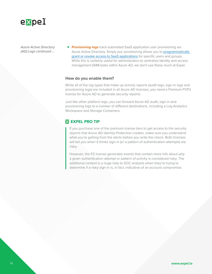

*Azure Active Directory (AD) Logs continued ...* 

■ **Provisioning logs** track automated SaaS application user provisioning via Azure Active Directory. Simply put, provisioning allows you to [programmatically](https://docs.microsoft.com/en-us/azure/active-directory/app-provisioning/how-provisioning-works)  [grant or revoke access to SaaS applications](https://docs.microsoft.com/en-us/azure/active-directory/app-provisioning/how-provisioning-works) for specific users and groups. While this is certainly useful for administrators to centralize identity and access management (IAM) tasks within Azure AD, we don't use these much at Expel.

#### **How do you enable them?**

While all of the log types that make up activity reports (audit logs, sign-in logs and provisioning logs) are included in all Azure AD licenses, you need a Premium P1/P2 license for Azure AD to generate security reports.

Just like other platform logs, you can forward Azure AD audit, sign-in and provisioning logs to a number of different destinations, including a Log Analytics Workspace and Storage Containers.

#### **EXPEL PRO TIP**

If you purchase one of the premium license tiers to get access to the security reports that Azure AD Identity Protection creates, make sure you understand what you're getting from the alerts before you write the check. Both licenses will tell you when it thinks sign-in (or a pattern of authentication attempts) are risky.

However, the P2 license generates events that contain more info about *why* a given authentication attempt or pattern of activity is considered risky. The additional context is a huge help to SOC analysts when they're trying to determine if a risky sign-in is, in fact, indicative of an account compromise.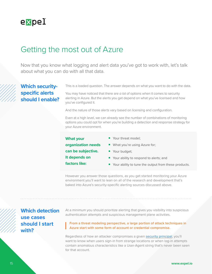<span id="page-14-0"></span>

## Getting the most out of Azure

Now that you know what logging and alert data you've got to work with, let's talk about what you can do with all that data.

## **Which securityspecific alerts should I enable?**

This is a loaded question. The answer depends on what you want to do with the data.

You may have noticed that there are *a lot* of options when it comes to security alerting in Azure. But the alerts you get depend on what you've licensed and how you've configured it.

And the nature of those alerts vary based on licensing and configuration.

Even at a high level, we can already see the number of combinations of monitoring options you could opt for when you're building a detection and response strategy for your Azure environment.

#### **What your**

■ Your threat model:

**organization needs** 

■ What you're using Azure for; ■ Your budget;

**can be subjective.** 

- **It depends on**
- **factors like:**
- Your ability to respond to alerts; and
- Your ability to tune the output from these products.

However you answer those questions, as you get started monitoring your Azure environment you'll want to lean on all of the research and development that's baked into Azure's security-specific alerting sources discussed above.

**Which detection use cases should I start with?**

At a minimum you should prioritize alerting that gives you visibility into suspicious authentication attempts and suspicious management plane activities.

From a threat modeling perspective, a large portion of attack techniques in Azure start with some form of account or credential compromise.

Regardless of how an attacker compromises a given [security](https://docs.microsoft.com/en-us/azure/role-based-access-control/overview) principal, you'll want to know when users sign-in from strange locations or when log-in attempts contain anomalous characteristics like a User-Agent string that's never been seen for that account.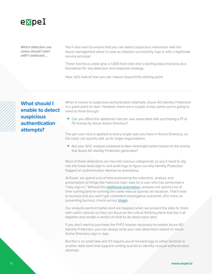<span id="page-15-0"></span>

*Which detection use cases should I start with? continued ...* 

You'll also want to ensure that you can detect suspicious interaction with the Azure management plane in case an attacker successfully logs in with a legitimate service principal.

These two focus areas give a 1,000-foot view and a starting place that acts as a foundation for any detection and response strategy.

Now, let's look at how you can mature beyond this starting point.

**What should I enable to detect suspicious authentication attempts?**

When it comes to suspicious authentication attempts, Azure AD Identity Protection is a good place to start. However, there are a couple of key points you're going to need to think through:

■ Can you afford the additional cost per user associated with purchasing a P1 or P2 license for Azure Active Directory?

The per-user cost is applied to every single user you have in Active Directory, so the costs can quickly add up for larger organizations.

■ Are your SOC analysts prepared to take meaningful action based on the activity that Azure AD Identity Protection generates?

Most of these detections are heuristic (versus categorical), so you'll need to dig into the lower-level sign-in and audit logs to figure out *why* Identity Protection flagged an authentication attempt as anomalous.

At Expel, we spend a lot of time automating the collection, analysis and presentation of things like historical login data for a user who has performed a "risky sign-in." Without this [additional automation](https://expel.io/blog/spotting-suspicious-logins-at-scale/), analysts will spend a lot of time running (and re-running) the same manual queries ad nauseum. That'll lead to burnout and you won't get consistent investigative outcomes. (For more on preventing burnout, check out our [blogs](https://expel.io/blog/performance-metrics-keeping-things-under-control/)).

Our analysts perform better (and are happier) when we present the data for them with useful callouts so they can focus on the critical thinking piece that ties it all together and render a verdict of what to do about each alert.

If you don't want to purchase the P1/P2 license necessary to enable Azure AD Identity Protection, you can always write your own detections based on Azure Active Directory sign-in logs.

But this is no small task and it'll require you to forward logs to either Sentinel or another data store that supports writing queries to identify unusual authentication attempts.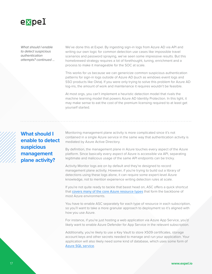<span id="page-16-0"></span>

*What should I enable to detect suspicious authentication attempts? continued ...*  We've done this at Expel. By ingesting sign-in logs from Azure AD via API and writing our own logic for common detection use cases like impossible travel scenarios and password spraying, we've seen some impressive results. But this homebrewed strategy requires a lot of forethought, tuning, enrichment and a process to make it manageable for the SOC at scale.

This works for us because we can genericize common suspicious authentication patterns for sign-in logs outside of Azure AD (such as windows event logs and SSO products like Okta). If you were only trying to solve this problem for Azure AD log-ins, the amount of work and maintenance it requires wouldn't be feasible.

At most orgs, you can't implement a heuristic detection model that rivals the machine learning model that powers Azure AD Identity Protection. In this light, it may make sense to eat the cost of the premium licensing required to at least get yourself started.

**What should I enable to detect suspicious management plane activity?** 

Monitoring management plane activity is more complicated since it's not contained in a single Azure service in the same way that authentication activity is mediated by Azure Active Directory.

By definition, the management plane in Azure touches every aspect of the Azure platform. Since basically every aspect of Azure is accessible via API, separating legitimate and malicious usage of the same API endpoints can be tricky.

Activity Monitor logs are on by default and they're designed to record management plane activity. However, if you're trying to build out a library of detections using these logs alone, it can require some expert-level Azure knowledge, not to mention experience writing detection rules at scale.

If you're not quite ready to tackle that beast head on, ASC offers a quick shortcut that [covers many of the core Azure resource types](https://docs.microsoft.com/en-us/azure/security-center/alerts-reference) that form the backbone of most Azure environments.

You have to enable ASC separately for each type of resource in each subscription, so you'll want to take a more granular approach to deployment so it's aligned with how you use Azure.

For instance, if you're just hosting a web application via Azure App Service, you'd likely want to enable Azure Defender for App Service in the relevant subscription.

Additionally, you're likely to use a Key Vault to store X509 certificates, storage account keys and other secrets needed to manage and run your application. Your application will also likely need some kind of database, which uses some form of [Azure SQL service](https://azure.microsoft.com/en-us/services/azure-sql/).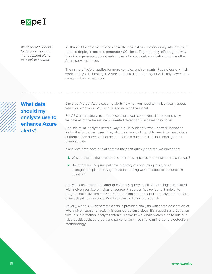<span id="page-17-0"></span>

*What should I enable to detect suspicious management plane activity? continued ...* 

All three of these core services have their own Azure Defender agents that you'll need to deploy in order to generate ASC alerts. Together they offer a great way to quickly generate out-of-the-box alerts for your web application and the other Azure services it uses.

The same principle applies for more complex environments. Regardless of which workloads you're hosting in Azure, an Azure Defender agent will likely cover some subset of those resources.

**What data should my analysts use to enhance Azure alerts?**

Once you've got Azure security alerts flowing, you need to think critically about what you want your SOC analysts to do with the signal.

For ASC alerts, analysts need access to lower-level event data to effectively validate all of the heuristically oriented detection use cases they cover.

At a minimum, analysts need a way to quickly identify what "normal" behavior looks like for a given user. They also need a way to quickly zero in on suspicious authentication attempts that occur prior to a burst of suspicious management plane activity.

If analysts have both bits of context they can quickly answer two questions:

- **1.** Was the sign-in that initiated the session suspicious or anomalous in some way?
- **2.** Does this service principal have a history of conducting this type of management plane activity and/or interacting with the specific resources in question?

Analysts can answer the latter question by querying all platform logs associated with a given service principal or source IP address. We've found it helpful to programmatically summarize this information and present it to analysts in the form of investigative questions. We do this using Expel Workbench™.

Usually, when ASC generates alerts, it provides analysts with some description of *why* a given subset of activity is considered suspicious. It's a good start. But even with this information, analysts often still have to work backwards a bit to rule out false positives that are part and parcel of any machine learning-centric detection methodology.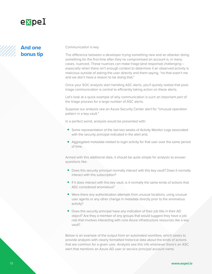<span id="page-18-0"></span>

## **And one bonus tip**

Communication is key.

The difference between a developer trying something new and an attacker doing something for the first time after they've compromised an account is, in many cases, nuanced. These nuances can make triage (and response) challenging – especially when there isn't enough context to determine if an observed activity is malicious outside of asking the user directly and them saying, "no that wasn't me and we don't have a reason to be doing that."

Once your SOC analysts start handling ASC alerts, you'll quickly realize that posttriage communication is central to efficiently taking action on these alerts.

Let's look at a quick example of why communication is such an important part of the triage process for a large number of ASC alerts.

Suppose our analysts see an Azure Security Center alert for "Unusual operation pattern in a key vault."

In a perfect world, analysts would be presented with:

- Some representation of the last two weeks of Activity Monitor Logs associated with the security principal indicated in the alert and;
- Aggregated metadata related to login activity for that user over the same period of time.

Armed with this additional data, it should be quite simple for analysts to answer questions like:

- Does this security principal normally interact with this key vault? Does it normally interact with this subscription?
- If it does interact with this key vault, is it normally the same kinds of actions that ASC considered anomalous?
- Were there any authentication attempts from unusual locations, using unusual user agents or any other change in metadata directly prior to the anomalous activity?
- Does this security principal have any indication of their job title in their AD object? Are they a member of any groups that would suggest they have a job role that involves interacting with core Azure infrastructure resources like a key vault?

Below is an example of the output from an automated workflow, which seeks to provide analysts with clearly formatted historical data about the kinds of actions that are common for a given user. Analysts see this info whenever there's an ASC alert that mentions an Azure AD user or service principal account name.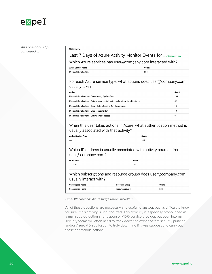

*And one bonus tip continued ...* 

#### User listing

Mich

### Last 7 Days of Azure Activity Monitor Events for user@company.com

Which Azure services has user@company.com interacted with?

**Azure Service Name** 

| osoft.DataFactory | 284 |  |
|-------------------|-----|--|
|                   |     |  |

For each Azure service type, what actions does user@company.com usually take?

Count

| <b>Action</b>                                                                       | Count |
|-------------------------------------------------------------------------------------|-------|
| Microsoft.DataFactory -- Query Debug Pipeline Runs                                  | 200   |
| Microsoft.DataFactory -- Get exposure control feature values for a list of features | 52    |
| Microsoft.DataFactory -- Create Debug Pipeline Run Environment                      | 14    |
| Microsoft.DataFactory -- Create Pipeline Run                                        | 10    |
| Microsoft.DataFactory - Get DataPlane access                                        | 8     |

When this user takes actions in Azure, what authentication method is usually associated with that activity?

| <b>Authentication Type</b>                                                              |                       | Count |  |  |
|-----------------------------------------------------------------------------------------|-----------------------|-------|--|--|
| wia                                                                                     |                       | 284   |  |  |
| Which IP address is usually associated with activity sourced from<br>user@company.com?  |                       |       |  |  |
| <b>IP Address</b>                                                                       | Count                 |       |  |  |
| 127.0.0.1                                                                               | 284                   |       |  |  |
| Which subscriptions and resource groups does user@company.com<br>usually interact with? |                       |       |  |  |
| <b>Subscription Name</b>                                                                | <b>Resource Group</b> | Count |  |  |
| Subscription-Name                                                                       | resource-group-1      | 284   |  |  |

*Expel Workbench™ Azure triage Ruxie™ workflow* 

All of these questions are necessary and useful to answer, but it's difficult to know for sure if this activity is unauthorized. This difficulty is especially pronounced as a managed detection and response (MDR) service provider, but even internal security teams will often need to track down the owner of that security principal and/or Azure AD application to truly determine if it was supposed to carry out those anomalous actions.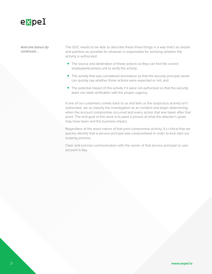

*And one bonus tip continued ...* 

The SOC needs to be able to describe these three things in a way that's as simple and painless as possible for whoever is responsible for verifying whether the activity is authorized:

- The source and destination of these actions so they can find the correct employee/business unit to verify the activity;
- The activity that was considered anomalous so that the security principal owner can quickly say whether those actions were expected or not; and
- The potential impact of this activity if it were not authorized so that the security team can seek verification with the proper urgency.

If one of our customers comes back to us and tells us the suspicious activity isn't authorized, we re-classify the investigation as an incident and begin determining when the account compromise occurred and every action that was taken after that point. The end goal of this work is to paint a picture of what the attacker's goals may have been and the business impact.

Regardless of the exact nature of that post-compromise activity, it's critical that we quickly identify that a service principal was compromised in order to kick start our scoping process.

Clear and concise communication with the owner of that service principal or user account is key.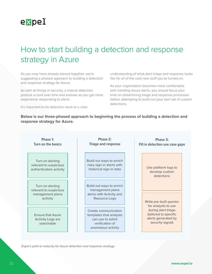<span id="page-21-0"></span>

## How to start building a detection and response strategy in Azure

As you may have already pieced together, we're suggesting a phased approach to building a detection and response strategy for Azure.

As with all things in security, a mature detection posture is built over time and evolves as you get more experience responding to alerts.

It's important to tie detection work to a clear

understanding of what alert triage and response looks like for all of the cool new stuff you've turned on.

As your organization becomes more comfortable with handling Azure alerts, you should focus your time on streamlining triage and response processes before attempting to build out your own set of custom detections.

**Below is our three-phased approach to beginning the process of building a detection and response strategy for Azure.**

| Phase 1:<br><b>Turn on the basics</b> |                                                                            | Phase 2:<br><b>Triage and response</b> |  | Phase 3:<br>Fill in detection use case gaps                                                                    |  |  |                                                                                                                |  |
|---------------------------------------|----------------------------------------------------------------------------|----------------------------------------|--|----------------------------------------------------------------------------------------------------------------|--|--|----------------------------------------------------------------------------------------------------------------|--|
|                                       | Turn on alerting<br>relevant to suspicious<br>authentication activity      |                                        |  | Build out ways to enrich<br>risky sign-in alerts with<br>historical sign-in data                               |  |  | Use platform logs to<br>develop custom<br>detections                                                           |  |
|                                       | Turn on alerting<br>relevant to suspicious<br>management plane<br>activity |                                        |  | Build out ways to enrich<br>management plane<br>alerts with Activity and<br>Resource Logs                      |  |  | Write pre-built queries                                                                                        |  |
|                                       | <b>Ensure that Azure</b><br><b>Activity Logs are</b><br>searchable         |                                        |  | Create communication<br>templates that analysts<br>can use to solicit<br>verification of<br>anomalous activity |  |  | for analysts to use<br>during alert triage<br>(tailored to specific<br>alerts generated by<br>security signal) |  |

*Expel's path to maturity for Azure detection and response strategy*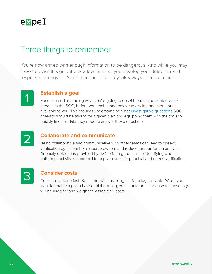<span id="page-22-0"></span>

## Three things to remember

You're now armed with enough information to be dangerous. And while you may have to revisit this guidebook a few times as you develop your detection and response strategy for Azure, here are three key takeaways to keep in mind:



### 1 **Establish a goal**

Focus on understanding what you're going to do with each type of alert once it reaches the SOC, before you enable and pay for every log and alert source available to you. This requires understanding what [investigative questions](https://expel.io/blog/how-to-investigate-like-analyst-expel-workbench-managed-alert-process/) SOC analysts should be asking for a given alert and equipping them with the tools to quickly find the data they need to answer those questions.



### **Collaborate and communicate**

Being collaborative and communicative with other teams can lead to speedy verification by account or resource owners and reduce the burden on analysts. Anomaly detections provided by ASC offer a good start to identifying when a pattern of activity is abnormal for a given security principal and needs verification.



### **Consider costs**

Costs can add up fast. Be careful with enabling platform logs at scale. When you want to enable a given type of platform log, you should be clear on what those logs will be used for and weigh the associated costs.